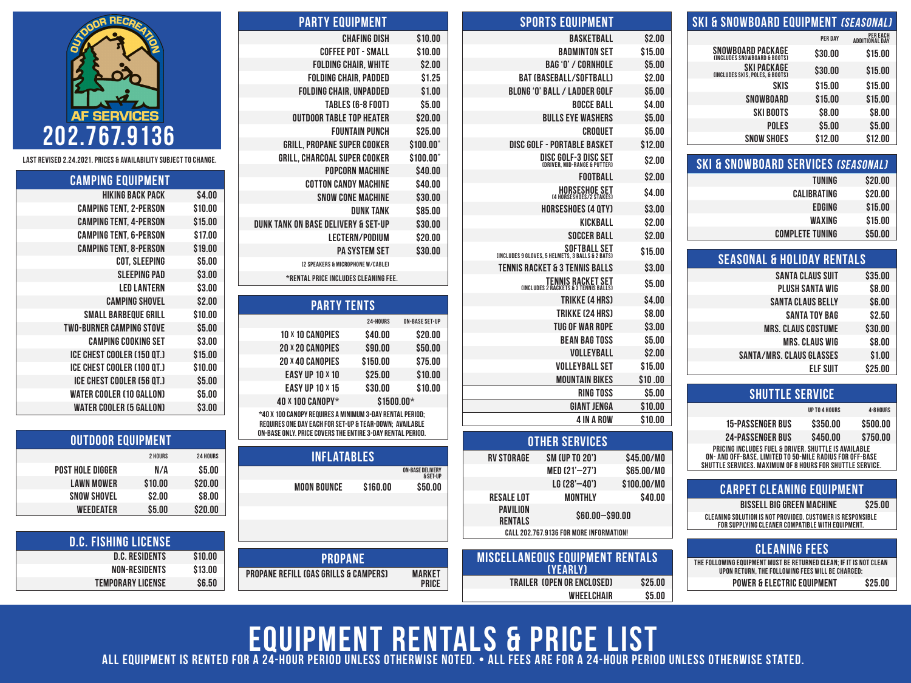| SKI & SNOWBOARD EQUIPMENT <i>(SEASONAL)</i>       |         |                                         |
|---------------------------------------------------|---------|-----------------------------------------|
|                                                   | PER DAY | <b>PEREACH</b><br><b>ADDITIONAL DAY</b> |
| SNOWBOARD PACKAGE<br>(INCLUDES SNOWBOARD & BOOTS) | \$30.00 | \$15.00                                 |
| SKI PACKAGE<br>(INCLUDES SKIS, POLES, & BOOTS)    | \$30.00 | \$15.00                                 |
| SKIS                                              | \$15.00 | \$15.00                                 |
| SNOWBOARD                                         | \$15.00 | \$15.00                                 |
| <b>SKI BOOTS</b>                                  | \$8.00  | \$8.00                                  |
| <b>POLES</b>                                      | \$5.00  | \$5.00                                  |
| <b>SNOW SHOES</b>                                 | \$12.00 | \$12.00                                 |
|                                                   |         |                                         |

| <b>SKI &amp; SNOWBOARD SERVICES (SEASONAL)</b> |         |
|------------------------------------------------|---------|
| TUNING                                         | \$20.00 |
| CALIBRATING                                    | \$20.00 |
| <b>EDGING</b>                                  | \$15.00 |
| WAXING                                         | \$15.00 |
| <b>COMPLETE TUNING</b>                         | \$50.00 |

| <b>SEASONAL &amp; HOLIDAY RENTALS</b> |         |
|---------------------------------------|---------|
| <b>SANTA CLAUS SUIT</b>               | \$35.00 |
| <b>PLUSH SANTA WIG</b>                | \$8.00  |
| <b>SANTA CLAUS BELLY</b>              | \$6.00  |
| SANTA TOY BAG                         | \$2.50  |
| <b>MRS. CLAUS COSTUME</b>             | \$30.00 |
| <b>MRS. CLAUS WIG</b>                 | \$8.00  |
| <b>SANTA/MRS. CLAUS GLASSES</b>       | \$1.00  |
| ELF SUIT                              | \$25.00 |
|                                       |         |

| <b>SHUTTLE SERVICE</b>                                                                                                                                                        |               |           |  |  |
|-------------------------------------------------------------------------------------------------------------------------------------------------------------------------------|---------------|-----------|--|--|
|                                                                                                                                                                               | UP TO 4 HOURS | 4-8 HOURS |  |  |
| <b>15-PASSENGER BUS</b>                                                                                                                                                       | \$350.00      | \$500.00  |  |  |
| <b>24-PASSENGER BUS</b>                                                                                                                                                       | \$450.00      | \$750.00  |  |  |
| PRICING INCLUDES FUEL & DRIVER, SHUTTLE IS AVAILABLE<br>ON- AND OFF-BASE. LIMITED TO 50-MILE RADIUS FOR OFF-BASE<br>SHUTTLE SERVICES. MAXIMUM OF 8 HOURS FOR SHUTTLE SERVICE. |               |           |  |  |

| <b>CARPET CLEANING EQUIPMENT</b>                                                                               |         |
|----------------------------------------------------------------------------------------------------------------|---------|
| <b>BISSELL BIG GREEN MACHINE</b>                                                                               | \$25.00 |
| CLEANING SOLUTION IS NOT PROVIDED. CUSTOMER IS RESPONSIBLE<br>FOR SUPPLYING CLEANER COMPATIBLE WITH EQUIPMENT. |         |
|                                                                                                                |         |
| CLEANING FFFC                                                                                                  |         |

| ULLAININU I LLU                                                                                                        |         |
|------------------------------------------------------------------------------------------------------------------------|---------|
| THE FOLLOWING EQUIPMENT MUST BE RETURNED CLEAN: IF IT IS NOT CLEAN<br>UPON RETURN. THE FOLLOWING FEES WILL BE CHARGED: |         |
|                                                                                                                        |         |
| POWER & ELECTRIC EQUIPMENT                                                                                             | \$25.00 |

|                   | <b>SPORTS EQUIPMENT</b>                                               |             |
|-------------------|-----------------------------------------------------------------------|-------------|
|                   | <b>BASKETBALL</b>                                                     | \$2.00      |
|                   | <b>BADMINTON SET</b>                                                  | \$15.00     |
|                   | BAG 'O' / CORNHOLE                                                    | \$5.00      |
|                   | <b>BAT (BASEBALL/SOFTBALL)</b>                                        | \$2.00      |
|                   | <b>BLONG 'O' BALL / LADDER GOLF</b>                                   | \$5.00      |
|                   | <b>BOCCE BALL</b>                                                     | \$4.00      |
|                   | <b>BULLS EYE WASHERS</b>                                              | \$5.00      |
|                   | CROQUET                                                               | \$5.00      |
|                   | <b>DISC GOLF - PORTABLE BASKET</b>                                    | \$12.00     |
|                   | <b>DISC GOLF-3 DISC SET</b><br>CORIVER, MID-RANGE & PUTTER)           | \$2.00      |
|                   | <b>FOOTBALL</b>                                                       | \$2.00      |
|                   | HORSESHOE SET                                                         | S4.00       |
|                   | <b>HORSESHOES (4 OTY)</b>                                             | \$3.00      |
|                   | KICKBALL                                                              | \$2.00      |
|                   | <b>SOCCER BALL</b>                                                    | \$2.00      |
|                   | SOFTBALL SET<br>(Includes 9 Gloves, 5 Helmets, 3 Balls & 2 Bats)      | \$15.00     |
|                   | <b>TENNIS RACKET &amp; 3 TENNIS BALLS</b>                             | \$3.00      |
|                   | TENNIS RACKET SET<br><b>(INCLUDES 2 RACKETS &amp; 3 TENNIS BALLS)</b> | S5.00       |
|                   | TRIKKE (4 HRS)                                                        | \$4.00      |
|                   | TRIKKE (24 HRS)                                                       | \$8.00      |
|                   | <b>TUG OF WAR ROPE</b>                                                | \$3.00      |
|                   | <b>BEAN BAG TOSS</b>                                                  | \$5.00      |
|                   | VOLLEYBALL                                                            | \$2.00      |
|                   | <b>VOLLEYBALL SET</b>                                                 | \$15.00     |
|                   | <b>MOUNTAIN BIKES</b>                                                 | \$10.00     |
|                   | <b>RING TOSS</b>                                                      | \$5.00      |
|                   | <b>GIANT JENGA</b>                                                    | \$10.00     |
|                   | <b>4 IN A ROW</b>                                                     | \$10.00     |
|                   | <b>OTHER SERVICES</b>                                                 |             |
| <b>RV STORAGE</b> | SM (UP TO 20')                                                        | \$45.00/MO  |
|                   | MED (21'-27')                                                         | \$65.00/MO  |
|                   | LG (28'-40')                                                          | \$100.00/MO |

WHEELCHAIR \$5.00

| <b>PARTY EQUIPMENT</b>                       |                |
|----------------------------------------------|----------------|
| <b>CHAFING DISH</b>                          | \$10.00        |
| <b>COFFEE POT - SMALL</b>                    | \$10.00        |
| <b>FOLDING CHAIR, WHITE</b>                  | \$2.00         |
| <b>FOLDING CHAIR, PADDED</b>                 | \$1.25         |
| <b>FOLDING CHAIR, UNPADDED</b>               | \$1.00         |
| TABLES (6-8 FOOT)                            | \$5.00         |
| <b>OUTDOOR TABLE TOP HEATER</b>              | \$20.00        |
| <b>FOUNTAIN PUNCH</b>                        | \$25.00        |
| <b>GRILL, PROPANE SUPER COOKER</b>           | \$100.00*      |
| <b>GRILL, CHARCOAL SUPER COOKER</b>          | $$100.00^*$    |
| <b>POPCORN MACHINE</b>                       | \$40.00        |
| <b>COTTON CANDY MACHINE</b>                  | \$40.00        |
| <b>SNOW CONE MACHINE</b>                     | \$30.00        |
| <b>DUNK TANK</b>                             | \$85.00        |
| DUNK TANK ON BASE DELIVERY & SET-UP          | \$30.00        |
| <b>LECTERN/PODIUM</b>                        | \$20.00        |
| <b>PA SYSTEM SET</b>                         | \$30.00        |
| <b>(2 SPEAKERS &amp; MICROPHONE W/CARLE)</b> |                |
| *RENTAL PRICE INCLUDES CLEANING FEE.         |                |
|                                              |                |
| <b>PARTY TENTS</b>                           |                |
| 24-HOURS                                     | ON-BASE SET-UP |
|                                              |                |

| <b>PARTY TENTS</b>                                                                                                  |            |                       |  |  |
|---------------------------------------------------------------------------------------------------------------------|------------|-----------------------|--|--|
|                                                                                                                     | 24-HOURS   | <b>ON-BASE SET-UP</b> |  |  |
| <b>10 X 10 CANOPIES</b>                                                                                             | \$40.00    | \$20.00               |  |  |
| <b>20 X 20 CANOPIES</b>                                                                                             | \$90.00    | \$50.00               |  |  |
| <b>20 × 40 CANOPIES</b>                                                                                             | \$150.00   | \$75.00               |  |  |
| <b>EASY UP 10 X 10</b>                                                                                              | \$25.00    | \$10.00               |  |  |
| <b>EASY UP 10 X 15</b>                                                                                              | \$30.00    | \$10.00               |  |  |
| 40 × 100 CANOPY*                                                                                                    | \$1500.00* |                       |  |  |
| *40 X 100 CANOPY REQUIRES A MINIMUM 3-DAY RENTAL PERIOD:<br>REQUIRES ONE DAY EACH FOR SET-UP & TEAR-DOWN; AVAILABLE |            |                       |  |  |
|                                                                                                                     |            |                       |  |  |

on-base only. Price covers the entire 3-day rental period.

| 3S | 24 HOURS | <b>INFLATABLES</b>                                                | <b>RV STORAGE</b>                 | SM (UP TO 20')                          | \$45.00/MO  |
|----|----------|-------------------------------------------------------------------|-----------------------------------|-----------------------------------------|-------------|
| A  | \$5.00   | <b>ON-BASE DELIVERY</b><br>& SET-UP                               |                                   | MED(21'–27')                            | \$65.00/MO  |
| 0  | \$20.00  | <b>MOON BOUNCE</b><br>\$160.00<br>\$50.00                         |                                   | $LG$ (28'-40')                          | \$100.00/MO |
| 0  | \$8.00   |                                                                   | <b>RESALE LOT</b>                 | <b>MONTHLY</b>                          | \$40.00     |
| 0  | \$20.00  |                                                                   | <b>PAVILION</b><br><b>RENTALS</b> | $$60.00 - $90.00$                       |             |
|    |          |                                                                   |                                   | CALL 202.767.9136 FOR MORE INFORMATION! |             |
|    |          |                                                                   |                                   |                                         |             |
|    | \$10.00  | <b>PROPANE</b>                                                    |                                   | <b>MISCELLANEOUS EQUIPMENT RENTALS</b>  |             |
|    | \$13.00  | <b>PROPANE REFILL (GAS GRILLS &amp; CAMPERS)</b><br><b>MARKET</b> |                                   | (YEARLY)                                |             |
|    | \$6.50   | <b>PRICE</b>                                                      |                                   | TRAILER (OPEN OR ENCLOSED)              | \$25.00     |
|    |          |                                                                   |                                   | <b>WHEELCHAIR</b>                       | \$5.00      |



Last REVISED 2.24.2021. Prices & availability subject to change.

| <b>CAMPING EQUIPMENT</b>        |         |
|---------------------------------|---------|
| HIKING BACK PACK                | \$4.00  |
| <b>CAMPING TENT, 2-PERSON</b>   | \$10.00 |
| <b>CAMPING TENT, 4-PERSON</b>   | \$15.00 |
| <b>CAMPING TENT, 6-PERSON</b>   | \$17.00 |
| <b>CAMPING TENT, 8-PERSON</b>   | \$19.00 |
| <b>COT, SLEEPING</b>            | \$5.00  |
| <b>SLEEPING PAD</b>             | \$3.00  |
| <b>LED LANTERN</b>              | \$3.00  |
| <b>CAMPING SHOVEL</b>           | \$2.00  |
| SMALL BARBEOUE GRILL            | \$10.00 |
| <b>TWO-BURNER CAMPING STOVE</b> | \$5.00  |
| <b>CAMPING COOKING SET</b>      | \$3.00  |
| ICE CHEST COOLER (150 QT.)      | \$15.00 |
| ICE CHEST COOLER (100 OT.)      | \$10.00 |
| ICE CHEST COOLER (56 QT.)       | \$5.00  |
| <b>WATER COOLER (10 GALLON)</b> | \$5.00  |
| WATER COOLER (5 GALLON)         | \$3.00  |

| <b>OUTDOOR EQUIPMENT</b> |                |                 |  |  |
|--------------------------|----------------|-----------------|--|--|
|                          | <b>2 HOURS</b> | <b>24 HOURS</b> |  |  |
| <b>POST HOLE DIGGER</b>  | N/A            | \$5.00          |  |  |
| <b>LAWN MOWER</b>        | \$10.00        | \$20.00         |  |  |
| <b>SNOW SHOVEL</b>       | \$2.00         | \$8.00          |  |  |
| <b>WEEDEATER</b>         | \$5.00         | \$20.00         |  |  |

| <b>D.C. FISHING LICENSE</b> |         |
|-----------------------------|---------|
| <b>D.C. RESIDENTS</b>       | \$10.00 |
| NON-RESIDENTS               | \$13.00 |
| TEMPORARY LICENSE           | S6.50   |

EQUIPMENT RENTALS & Price List All equipment is rented for a 24-hour period unless otherwise noted. • All fees are for a 24-hour period unless otherwise stated.